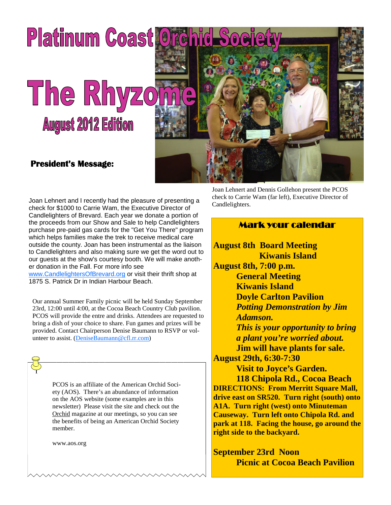

Joan Lehnert and I recently had the pleasure of presenting a check for \$1000 to Carrie Wam, the Executive Director of Candlelighters of Brevard. Each year we donate a portion of the proceeds from our Show and Sale to help Candlelighters purchase pre-paid gas cards for the "Get You There" program which helps families make the trek to receive medical care outside the county. Joan has been instrumental as the liaison to Candlelighters and also making sure we get the word out to our guests at the show's courtesy booth. We will make another donation in the Fall. For more info see www.CandlelightersOfBrevard.org or visit their thrift shop at

1875 S. Patrick Dr in Indian Harbour Beach.

Our annual Summer Family picnic will be held Sunday September 23rd, 12:00 until 4:00, at the Cocoa Beach Country Club pavilion. PCOS will provide the entre and drinks. Attendees are requested to bring a dish of your choice to share. Fun games and prizes will be provided. Contact Chairperson Denise Baumann to RSVP or volunteer to assist. (DeniseBaumann@cfl.rr.com)

> PCOS is an affiliate of the American Orchid Society (AOS). There's an abundance of information on the AOS website (some examples are in this newsletter) Please visit the site and check out the Orchid magazine at our meetings, so you can see the benefits of being an American Orchid Society member.

www.aos.org

Joan Lehnert and Dennis Gollehon present the PCOS check to Carrie Wam (far left), Executive Director of Candlelighters.

### Mark your calendar

**August 8th Board Meeting Kiwanis Island August 8th, 7:00 p.m. General Meeting Kiwanis Island Doyle Carlton Pavilion** *Potting Demonstration by Jim Adamson. This is your opportunity to bring a plant you're worried about.* **Jim will have plants for sale. August 29th, 6:30-7:30**

**Visit to Joyce's Garden. 118 Chipola Rd., Cocoa Beach DIRECTIONS: From Merritt Square Mall, drive east on SR520. Turn right (south) onto A1A. Turn right (west) onto Minuteman Causeway. Turn left onto Chipola Rd. and park at 118. Facing the house, go around the right side to the backyard.**

**September 23rd Noon Picnic at Cocoa Beach Pavilion**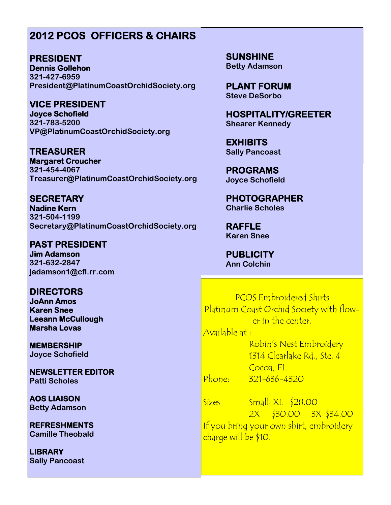## **2012 PCOS OFFICERS & CHAIRS**

**PRESIDENT Dennis Gollehon 321-427-6959 President@PlatinumCoastOrchidSociety.org**

**VICE PRESIDENT Joyce Schofield 321-783-5200 VP@PlatinumCoastOrchidSociety.org**

**TREASURER Margaret Croucher 321-454-4067 Treasurer@PlatinumCoastOrchidSociety.org**

**SECRETARY Nadine Kern 321-504-1199 Secretary@PlatinumCoastOrchidSociety.org**

**PAST PRESIDENT Jim Adamson 321-632-2847 jadamson1@cfl.rr.com**

**DIRECTORS JoAnn Amos Karen Snee Leeann McCullough Marsha Lovas**

**MEMBERSHIP Joyce Schofield**

**NEWSLETTER EDITOR Patti Scholes**

**AOS LIAISON Betty Adamson**

**REFRESHMENTS Camille Theobald**

**LIBRARY Sally Pancoast** **SUNSHINE Betty Adamson**

**PLANT FORUM Steve DeSorbo**

**HOSPITALITY/GREETER Shearer Kennedy**

**EXHIBITS Sally Pancoast**

**PROGRAMS Joyce Schofield**

**PHOTOGRAPHER Charlie Scholes**

**RAFFLE Karen Snee**

**PUBLICITY Ann Colchin**

PCOS Embroidered Shirts Platinum Coast Orchid Society with flower in the center.

Available at :

Robin's Nest Embroidery 1314 Clearlake Rd., Ste. 4 Cocoa, FL Phone: 321-636-4320

Sizes Small-XL \$28.00 2X \$30.00 3X \$34.00 If you bring your own shirt, embroidery charge will be \$10.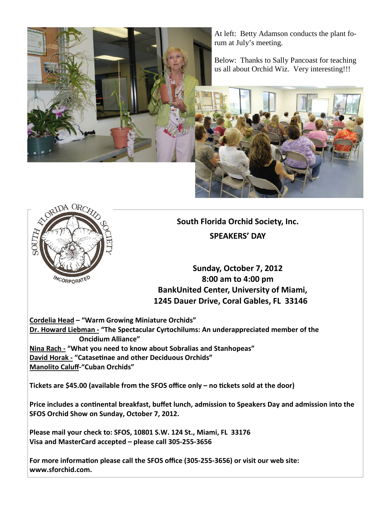

At left: Betty Adamson conducts the plant forum at July's meeting.

Below: Thanks to Sally Pancoast for teaching us all about Orchid Wiz. Very interesting!!!





**South Florida Orchid Society, Inc. SPEAKERS' DAY**

**Sunday, October 7, 2012 8:00 am to 4:00 pm BankUnited Center, University of Miami, 1245 Dauer Drive, Coral Gables, FL 33146**

**Cordelia Head – "Warm Growing Miniature Orchids" Dr. Howard Liebman - "The Spectacular Cyrtochilums: An underappreciated member of the Oncidium Alliance" Nina Rach - "What you need to know about Sobralias and Stanhopeas" David Horak - "Catasetinae and other Deciduous Orchids" Manolito Caluff-"Cuban Orchids"**

**Tickets** are \$45.00 (available from the SFOS office only – no tickets sold at the door)

**Price includes a continental breakfast, buffet lunch, admission to Speakers Day and admission into the SFOS Orchid Show on Sunday, October 7, 2012.**

**Please mail your check to: SFOS, 10801 S.W. 124 St., Miami, FL 33176 Visa and MasterCard accepted – please call 305-255-3656**

**Eor more information please call the SFOS office (305-255-3656) or visit our web site: www.sforchid.com.**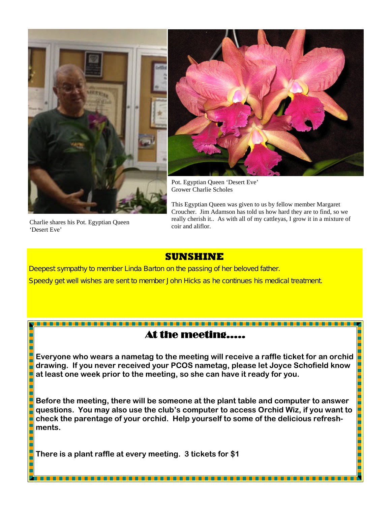



Pot. Egyptian Queen 'Desert Eve' Grower Charlie Scholes

This Egyptian Queen was given to us by fellow member Margaret Croucher. Jim Adamson has told us how hard they are to find, so we really cherish it.. As with all of my cattleyas, I grow it in a mixture of coir and aliflor.

Charlie shares his Pot. Egyptian Queen 'Desert Eve'

h

## **SUNSHINE**

Deepest sympathy to member Linda Barton on the passing of her beloved father. Speedy get well wishes are sent to member John Hicks as he continues his medical treatment.

## At the meeting…..

**Everyone who wears a nametag to the meeting will receive a raffle ticket for an orchid drawing. If you never received your PCOS nametag, please let Joyce Schofield know at least one week prior to the meeting, so she can have it ready for you.**

**Before the meeting, there will be someone at the plant table and computer to answer questions. You may also use the club's computer to access Orchid Wiz, if you want to check the parentage of your orchid. Help yourself to some of the delicious refreshments.**

**There is a plant raffle at every meeting. 3 tickets for \$1**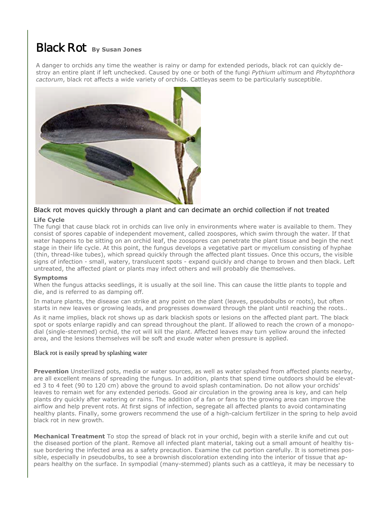# Black Rot **By Susan Jones**

A danger to orchids any time the weather is rainy or damp for extended periods, black rot can quickly destroy an entire plant if left unchecked. Caused by one or both of the fungi *Pythium ultimum* and *Phytophthora cactorum*, black rot affects a wide variety of orchids. Cattleyas seem to be particularly susceptible.



## Black rot moves quickly through a plant and can decimate an orchid collection if not treated

### **Life Cycle**

The fungi that cause black rot in orchids can live only in environments where water is available to them. They consist of spores capable of independent movement, called zoospores, which swim through the water. If that water happens to be sitting on an orchid leaf, the zoospores can penetrate the plant tissue and begin the next stage in their life cycle. At this point, the fungus develops a vegetative part or mycelium consisting of hyphae (thin, thread-like tubes), which spread quickly through the affected plant tissues. Once this occurs, the visible signs of infection - small, watery, translucent spots - expand quickly and change to brown and then black. Left untreated, the affected plant or plants may infect others and will probably die themselves.

### **Symptoms**

When the fungus attacks seedlings, it is usually at the soil line. This can cause the little plants to topple and die, and is referred to as damping off.

In mature plants, the disease can strike at any point on the plant (leaves, pseudobulbs or roots), but often starts in new leaves or growing leads, and progresses downward through the plant until reaching the roots..

As it name implies, black rot shows up as dark blackish spots or lesions on the affected plant part. The black spot or spots enlarge rapidly and can spread throughout the plant. If allowed to reach the crown of a monopodial (single-stemmed) orchid, the rot will kill the plant. Affected leaves may turn yellow around the infected area, and the lesions themselves will be soft and exude water when pressure is applied.

### Black rot is easily spread by splashing water

**Prevention** Unsterilized pots, media or water sources, as well as water splashed from affected plants nearby, are all excellent means of spreading the fungus. In addition, plants that spend time outdoors should be elevated 3 to 4 feet (90 to 120 cm) above the ground to avoid splash contamination. Do not allow your orchids' leaves to remain wet for any extended periods. Good air circulation in the growing area is key, and can help plants dry quickly after watering or rains. The addition of a fan or fans to the growing area can improve the airflow and help prevent rots. At first signs of infection, segregate all affected plants to avoid contaminating healthy plants. Finally, some growers recommend the use of a high-calcium fertilizer in the spring to help avoid black rot in new growth.

**Mechanical Treatment** To stop the spread of black rot in your orchid, begin with a sterile knife and cut out the diseased portion of the plant. Remove all infected plant material, taking out a small amount of healthy tissue bordering the infected area as a safety precaution. Examine the cut portion carefully. It is sometimes possible, especially in pseudobulbs, to see a brownish discoloration extending into the interior of tissue that appears healthy on the surface. In sympodial (many-stemmed) plants such as a cattleya, it may be necessary to